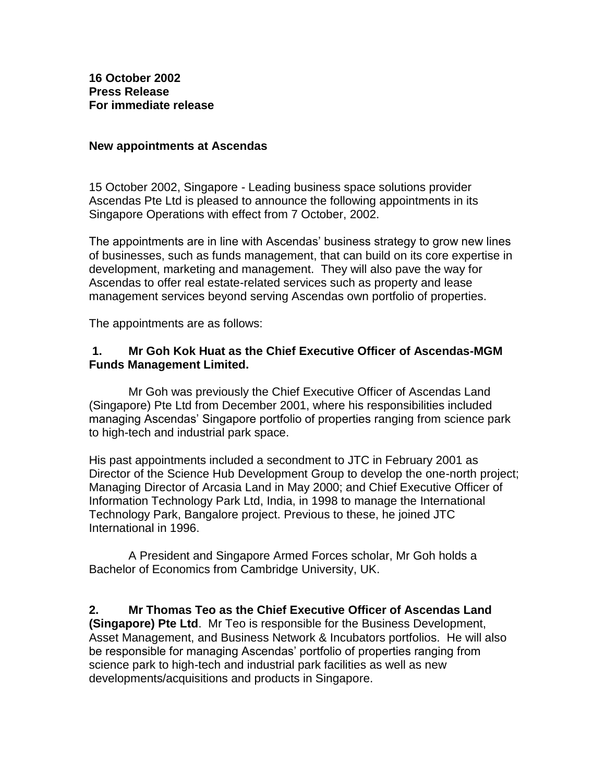**16 October 2002 Press Release For immediate release**

## **New appointments at Ascendas**

15 October 2002, Singapore - Leading business space solutions provider Ascendas Pte Ltd is pleased to announce the following appointments in its Singapore Operations with effect from 7 October, 2002.

The appointments are in line with Ascendas' business strategy to grow new lines of businesses, such as funds management, that can build on its core expertise in development, marketing and management. They will also pave the way for Ascendas to offer real estate-related services such as property and lease management services beyond serving Ascendas own portfolio of properties.

The appointments are as follows:

## **1. Mr Goh Kok Huat as the Chief Executive Officer of Ascendas-MGM Funds Management Limited.**

Mr Goh was previously the Chief Executive Officer of Ascendas Land (Singapore) Pte Ltd from December 2001, where his responsibilities included managing Ascendas' Singapore portfolio of properties ranging from science park to high-tech and industrial park space.

His past appointments included a secondment to JTC in February 2001 as Director of the Science Hub Development Group to develop the one-north project; Managing Director of Arcasia Land in May 2000; and Chief Executive Officer of Information Technology Park Ltd, India, in 1998 to manage the International Technology Park, Bangalore project. Previous to these, he joined JTC International in 1996.

A President and Singapore Armed Forces scholar, Mr Goh holds a Bachelor of Economics from Cambridge University, UK.

**2. Mr Thomas Teo as the Chief Executive Officer of Ascendas Land (Singapore) Pte Ltd**. Mr Teo is responsible for the Business Development, Asset Management, and Business Network & Incubators portfolios. He will also be responsible for managing Ascendas' portfolio of properties ranging from science park to high-tech and industrial park facilities as well as new developments/acquisitions and products in Singapore.